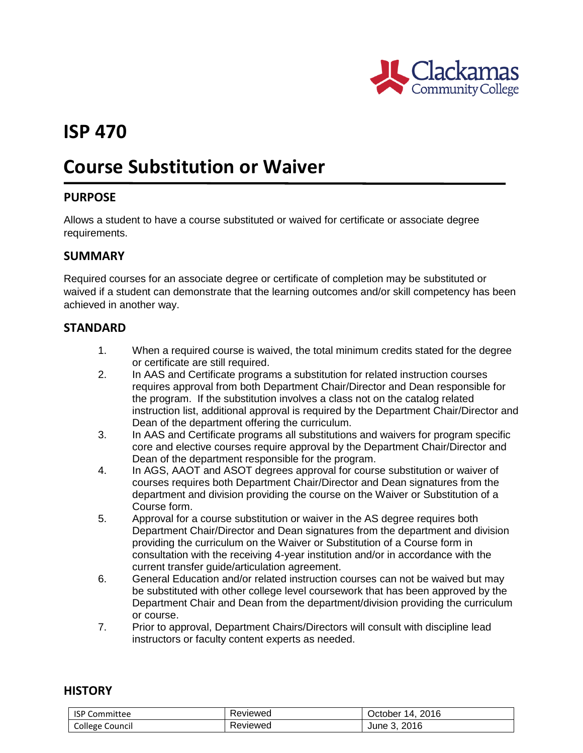

# **ISP 470**

# **Course Substitution or Waiver**

## **PURPOSE**

Allows a student to have a course substituted or waived for certificate or associate degree requirements.

#### **SUMMARY**

Required courses for an associate degree or certificate of completion may be substituted or waived if a student can demonstrate that the learning outcomes and/or skill competency has been achieved in another way.

## **STANDARD**

- 1. When a required course is waived, the total minimum credits stated for the degree or certificate are still required.
- 2. In AAS and Certificate programs a substitution for related instruction courses requires approval from both Department Chair/Director and Dean responsible for the program. If the substitution involves a class not on the catalog related instruction list, additional approval is required by the Department Chair/Director and Dean of the department offering the curriculum.
- 3. In AAS and Certificate programs all substitutions and waivers for program specific core and elective courses require approval by the Department Chair/Director and Dean of the department responsible for the program.
- 4. In AGS, AAOT and ASOT degrees approval for course substitution or waiver of courses requires both Department Chair/Director and Dean signatures from the department and division providing the course on the Waiver or Substitution of a Course form.
- 5. Approval for a course substitution or waiver in the AS degree requires both Department Chair/Director and Dean signatures from the department and division providing the curriculum on the Waiver or Substitution of a Course form in consultation with the receiving 4-year institution and/or in accordance with the current transfer guide/articulation agreement.
- 6. General Education and/or related instruction courses can not be waived but may be substituted with other college level coursework that has been approved by the Department Chair and Dean from the department/division providing the curriculum or course.
- 7. Prior to approval, Department Chairs/Directors will consult with discipline lead instructors or faculty content experts as needed.

#### **HISTORY**

| <b>ISP</b><br>Committee | Reviewed | 2016<br>14<br>October |
|-------------------------|----------|-----------------------|
| College Council         | Reviewed | 2016<br>June 5.       |